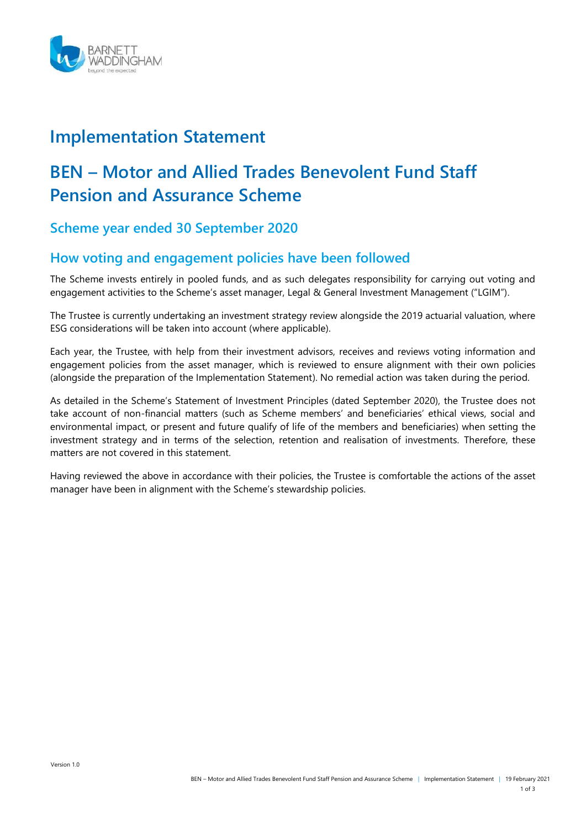

## **Implementation Statement**

# **BEN – Motor and Allied Trades Benevolent Fund Staff Pension and Assurance Scheme**

**Scheme year ended 30 September 2020**

### **How voting and engagement policies have been followed**

The Scheme invests entirely in pooled funds, and as such delegates responsibility for carrying out voting and engagement activities to the Scheme's asset manager, Legal & General Investment Management ("LGIM").

The Trustee is currently undertaking an investment strategy review alongside the 2019 actuarial valuation, where ESG considerations will be taken into account (where applicable).

Each year, the Trustee, with help from their investment advisors, receives and reviews voting information and engagement policies from the asset manager, which is reviewed to ensure alignment with their own policies (alongside the preparation of the Implementation Statement). No remedial action was taken during the period.

As detailed in the Scheme's Statement of Investment Principles (dated September 2020), the Trustee does not take account of non-financial matters (such as Scheme members' and beneficiaries' ethical views, social and environmental impact, or present and future qualify of life of the members and beneficiaries) when setting the investment strategy and in terms of the selection, retention and realisation of investments. Therefore, these matters are not covered in this statement.

Having reviewed the above in accordance with their policies, the Trustee is comfortable the actions of the asset manager have been in alignment with the Scheme's stewardship policies.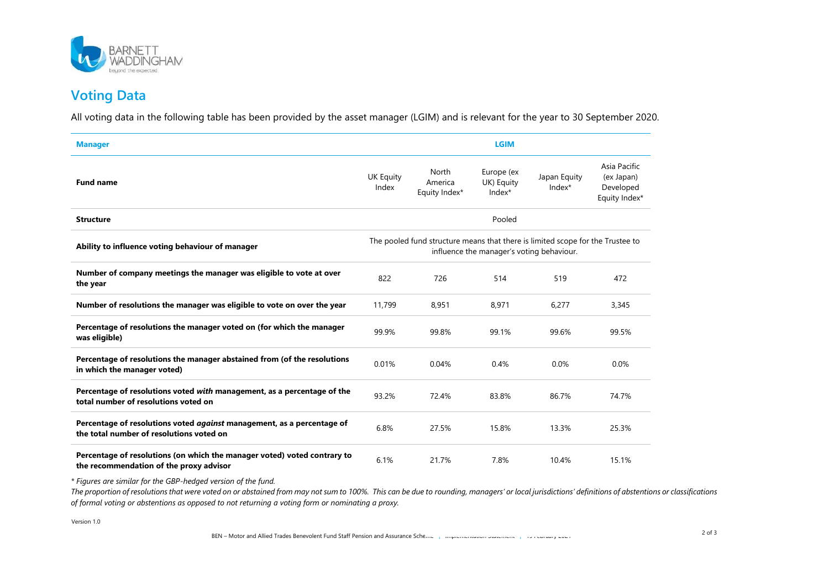

### **Voting Data**

All voting data in the following table has been provided by the asset manager (LGIM) and is relevant for the year to 30 September 2020.

| <b>Manager</b>                                                                                                      | <b>LGIM</b>                                                                                                                 |                                   |                                    |                        |                                                          |
|---------------------------------------------------------------------------------------------------------------------|-----------------------------------------------------------------------------------------------------------------------------|-----------------------------------|------------------------------------|------------------------|----------------------------------------------------------|
| <b>Fund name</b>                                                                                                    | <b>UK Equity</b><br>Index                                                                                                   | North<br>America<br>Equity Index* | Europe (ex<br>UK) Equity<br>Index* | Japan Equity<br>Index* | Asia Pacific<br>(ex Japan)<br>Developed<br>Equity Index* |
| <b>Structure</b>                                                                                                    | Pooled                                                                                                                      |                                   |                                    |                        |                                                          |
| Ability to influence voting behaviour of manager                                                                    | The pooled fund structure means that there is limited scope for the Trustee to<br>influence the manager's voting behaviour. |                                   |                                    |                        |                                                          |
| Number of company meetings the manager was eligible to vote at over<br>the year                                     | 822                                                                                                                         | 726                               | 514                                | 519                    | 472                                                      |
| Number of resolutions the manager was eligible to vote on over the year                                             | 11,799                                                                                                                      | 8,951                             | 8,971                              | 6,277                  | 3,345                                                    |
| Percentage of resolutions the manager voted on (for which the manager<br>was eligible)                              | 99.9%                                                                                                                       | 99.8%                             | 99.1%                              | 99.6%                  | 99.5%                                                    |
| Percentage of resolutions the manager abstained from (of the resolutions<br>in which the manager voted)             | 0.01%                                                                                                                       | 0.04%                             | 0.4%                               | 0.0%                   | 0.0%                                                     |
| Percentage of resolutions voted with management, as a percentage of the<br>total number of resolutions voted on     | 93.2%                                                                                                                       | 72.4%                             | 83.8%                              | 86.7%                  | 74.7%                                                    |
| Percentage of resolutions voted against management, as a percentage of<br>the total number of resolutions voted on  | 6.8%                                                                                                                        | 27.5%                             | 15.8%                              | 13.3%                  | 25.3%                                                    |
| Percentage of resolutions (on which the manager voted) voted contrary to<br>the recommendation of the proxy advisor | 6.1%                                                                                                                        | 21.7%                             | 7.8%                               | 10.4%                  | 15.1%                                                    |

*\* Figures are similar for the GBP-hedged version of the fund.* 

The proportion of resolutions that were voted on or abstained from may not sum to 100%. This can be due to rounding, managers' or local jurisdictions' definitions of abstentions or classifications *of formal voting or abstentions as opposed to not returning a voting form or nominating a proxy.*

Version 1.0